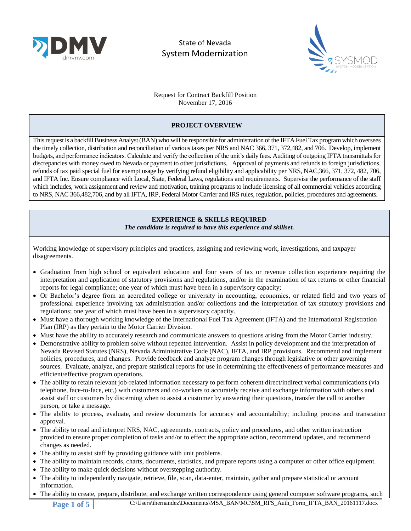



Request for Contract Backfill Position November 17, 2016

### **PROJECT OVERVIEW**

This request is a backfill Business Analyst (BAN) who will be responsible for administration ofthe IFTA Fuel Tax program which oversees the timely collection, distribution and reconciliation of various taxes per NRS and NAC 366, 371, 372,482, and 706. Develop, implement budgets, and performance indicators. Calculate and verify the collection of the unit's daily fees. Auditing of outgoing IFTA transmittals for discrepancies with money owed to Nevada or payment to other jurisdictions. Approval of payments and refunds to foreign jurisdictions, refunds of tax paid special fuel for exempt usage by verifying refund eligibility and applicability per NRS, NAC,366, 371, 372, 482, 706, and IFTA Inc. Ensure compliance with Local, State, Federal Laws, regulations and requirements. Supervise the performance of the staff which includes, work assignment and review and motivation, training programs to include licensing of all commercial vehicles according to NRS, NAC 366,482,706, and by all IFTA, IRP, Federal Motor Carrier and IRS rules, regulation, policies, procedures and agreements.

> **EXPERIENCE & SKILLS REQUIRED** *The candidate is required to have this experience and skillset.*

Working knowledge of supervisory principles and practices, assigning and reviewing work, investigations, and taxpayer disagreements.

- Graduation from high school or equivalent education and four years of tax or revenue collection experience requiring the interpretation and application of statutory provisions and regulations, and/or in the examination of tax returns or other financial reports for legal compliance; one year of which must have been in a supervisory capacity;
- Or Bachelor's degree from an accredited college or university in accounting, economics, or related field and two years of professional experience involving tax administration and/or collections and the interpretation of tax statutory provisions and regulations; one year of which must have been in a supervisory capacity.
- Must have a thorough working knowledge of the International Fuel Tax Agreement (IFTA) and the International Registration Plan (IRP) as they pertain to the Motor Carrier Division.
- Must have the ability to accurately research and communicate answers to questions arising from the Motor Carrier industry.
- Demonstrative ability to problem solve without repeated intervention. Assist in policy development and the interpretation of Nevada Revised Statutes (NRS), Nevada Administrative Code (NAC), IFTA, and IRP provisions. Recommend and implement policies, procedures, and changes. Provide feedback and analyze program changes through legislative or other governing sources. Evaluate, analyze, and prepare statistical reports for use in determining the effectiveness of performance measures and efficient/effective program operations.
- The ability to retain relevant job-related information necessary to perform coherent direct/indirect verbal communications (via telephone, face-to-face, etc.) with customers and co-workers to accurately receive and exchange information with others and assist staff or customers by discerning when to assist a customer by answering their questions, transfer the call to another person, or take a message.
- The ability to process, evaluate, and review documents for accuracy and accountabiltiy; including process and transcation approval.
- The ability to read and interpret NRS, NAC, agreements, contracts, policy and procedures, and other written instruction provided to ensure proper completion of tasks and/or to effect the appropriate action, recommend updates, and recommend changes as needed.
- The ability to assist staff by providing guidance with unit problems.
- The ability to maintain records, charts, documents, statistics, and prepare reports using a computer or other office equipment.
- The ability to make quick decisions without overstepping authority.
- The ability to independently navigate, retrieve, file, scan, data-enter, maintain, gather and prepare statistical or account information.
- The ability to create, prepare, distribute, and exchange written correspondence using general computer software programs, such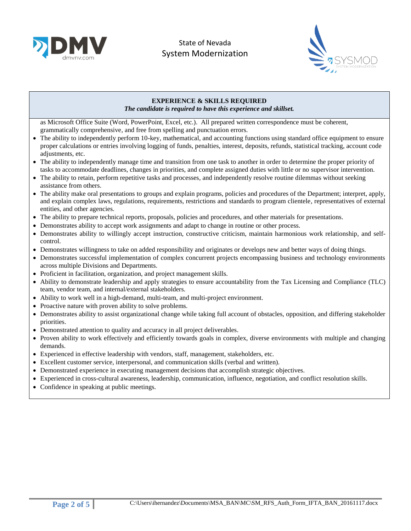



# **EXPERIENCE & SKILLS REQUIRED**

*The candidate is required to have this experience and skillset.*

as Microsoft Office Suite (Word, PowerPoint, Excel, etc.). All prepared written correspondence must be coherent, grammatically comprehensive, and free from spelling and punctuation errors.

- The ability to independently perform 10-key, mathematical, and accounting functions using standard office equipment to ensure proper calculations or entries involving logging of funds, penalties, interest, deposits, refunds, statistical tracking, account code adjustments, etc.
- The ability to independently manage time and transition from one task to another in order to determine the proper priority of tasks to accommodate deadlines, changes in priorities, and complete assigned duties with little or no supervisor intervention.
- The ability to retain, perform repetitive tasks and processes, and independently resolve routine dilemmas without seeking assistance from others.
- The ability make oral presentations to groups and explain programs, policies and procedures of the Department; interpret, apply, and explain complex laws, regulations, requirements, restrictions and standards to program clientele, representatives of external entities, and other agencies.
- The ability to prepare technical reports, proposals, policies and procedures, and other materials for presentations.
- Demonstrates ability to accept work assignments and adapt to change in routine or other process.
- Demonstrates ability to willingly accept instruction, constructive criticism, maintain harmonious work relationship, and selfcontrol.
- Demonstrates willingness to take on added responsibility and originates or develops new and better ways of doing things.
- Demonstrates successful implementation of complex concurrent projects encompassing business and technology environments across multiple Divisions and Departments.
- Proficient in facilitation, organization, and project management skills.
- Ability to demonstrate leadership and apply strategies to ensure accountability from the Tax Licensing and Compliance (TLC) team, vendor team, and internal/external stakeholders.
- Ability to work well in a high-demand, multi-team, and multi-project environment.
- Proactive nature with proven ability to solve problems.
- Demonstrates ability to assist organizational change while taking full account of obstacles, opposition, and differing stakeholder priorities.
- Demonstrated attention to quality and accuracy in all project deliverables.
- Proven ability to work effectively and efficiently towards goals in complex, diverse environments with multiple and changing demands.
- Experienced in effective leadership with vendors, staff, management, stakeholders, etc.
- Excellent customer service, interpersonal, and communication skills (verbal and written).
- Demonstrated experience in executing management decisions that accomplish strategic objectives.
- Experienced in cross-cultural awareness, leadership, communication, influence, negotiation, and conflict resolution skills.
- Confidence in speaking at public meetings.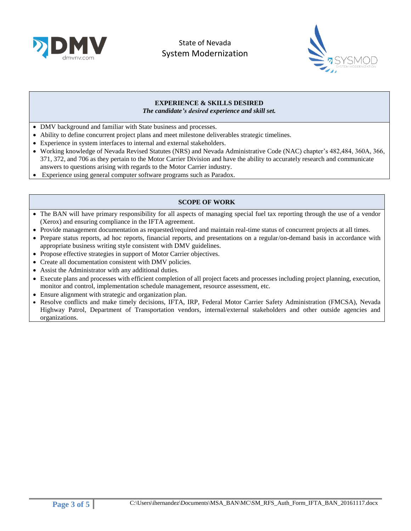



#### **EXPERIENCE & SKILLS DESIRED** *The candidate's desired experience and skill set.*

- DMV background and familiar with State business and processes.
- Ability to define concurrent project plans and meet milestone deliverables strategic timelines.
- Experience in system interfaces to internal and external stakeholders.
- Working knowledge of Nevada Revised Statutes (NRS) and Nevada Administrative Code (NAC) chapter's 482,484, 360A, 366, 371, 372, and 706 as they pertain to the Motor Carrier Division and have the ability to accurately research and communicate answers to questions arising with regards to the Motor Carrier industry.
- Experience using general computer software programs such as Paradox.

## **SCOPE OF WORK**

- The BAN will have primary responsibility for all aspects of managing special fuel tax reporting through the use of a vendor (Xerox) and ensuring compliance in the IFTA agreement.
- Provide management documentation as requested/required and maintain real-time status of concurrent projects at all times.
- Prepare status reports, ad hoc reports, financial reports, and presentations on a regular/on-demand basis in accordance with appropriate business writing style consistent with DMV guidelines.
- Propose effective strategies in support of Motor Carrier objectives.
- Create all documentation consistent with DMV policies.
- Assist the Administrator with any additional duties.
- Execute plans and processes with efficient completion of all project facets and processes including project planning, execution, monitor and control, implementation schedule management, resource assessment, etc.
- Ensure alignment with strategic and organization plan.
- Resolve conflicts and make timely decisions, IFTA, IRP, Federal Motor Carrier Safety Administration (FMCSA), Nevada Highway Patrol, Department of Transportation vendors, internal/external stakeholders and other outside agencies and organizations.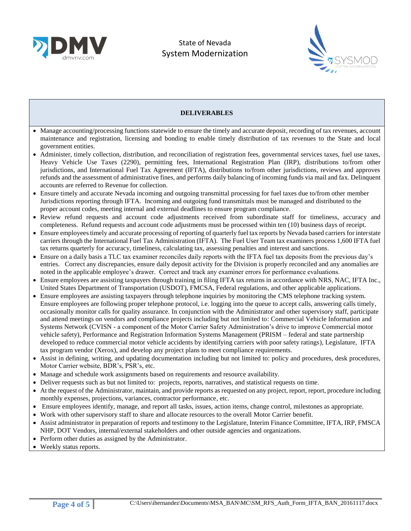



#### **DELIVERABLES**

- Manage accounting/processing functions statewide to ensure the timely and accurate deposit, recording of tax revenues, account maintenance and registration, licensing and bonding to enable timely distribution of tax revenues to the State and local government entities.
- Administer, timely collection, distribution, and reconciliation of registration fees, governmental services taxes, fuel use taxes, Heavy Vehicle Use Taxes (2290), permitting fees, International Registration Plan (IRP), distributions to/from other jurisdictions, and International Fuel Tax Agreement (IFTA), distributions to/from other jurisdictions, reviews and approves refunds and the assessment of administrative fines, and performs daily balancing of incoming funds via mail and fax. Delinquent accounts are referred to Revenue for collection.
- Ensure timely and accurate Nevada incoming and outgoing transmittal processing for fuel taxes due to/from other member Jurisdictions reporting through IFTA. Incoming and outgoing fund transmittals must be managed and distributed to the proper account codes, meeting internal and external deadlines to ensure program compliance.
- Review refund requests and account code adjustments received from subordinate staff for timeliness, accuracy and completeness. Refund requests and account code adjustments must be processed within ten (10) business days of receipt.
- Ensure employees timely and accurate processing of reporting of quarterly fuel tax reports by Nevada based carriers for interstate carriers through the International Fuel Tax Administration (IFTA). The Fuel User Team tax examiners process 1,600 IFTA fuel tax returns quarterly for accuracy, timeliness, calculating tax, assessing penalties and interest and sanctions.
- Ensure on a daily basis a TLC tax examiner reconciles daily reports with the IFTA fuel tax deposits from the previous day's entries. Correct any discrepancies, ensure daily deposit activity for the Division is properly reconciled and any anomalies are noted in the applicable employee's drawer. Correct and track any examiner errors for performance evaluations.
- Ensure employees are assisting taxpayers through training in filing IFTA tax returns in accordance with NRS, NAC, IFTA Inc., United States Department of Transportation (USDOT), FMCSA, Federal regulations, and other applicable applications.
- Ensure employees are assisting taxpayers through telephone inquiries by monitoring the CMS telephone tracking system. Ensure employees are following proper telephone protocol, i.e. logging into the queue to accept calls, answering calls timely, occasionally monitor calls for quality assurance. In conjunction with the Administrator and other supervisory staff, participate and attend meetings on vendors and compliance projects including but not limited to: Commercial Vehicle Information and Systems Network (CVISN - a component of the Motor Carrier Safety Administration's drive to improve Commercial motor vehicle safety), Performance and Registration Information Systems Management (PRISM – federal and state partnership developed to reduce commercial motor vehicle accidents by identifying carriers with poor safety ratings), Legislature, IFTA tax program vendor (Xerox), and develop any project plans to meet compliance requirements.
- Assist in defining, writing, and updating documentation including but not limited to: policy and procedures, desk procedures, Motor Carrier website, BDR's, PSR's, etc.
- Manage and schedule work assignments based on requirements and resource availability.
- Deliver requests such as but not limited to: projects, reports, narratives, and statistical requests on time.
- At the request of the Administrator, maintain, and provide reports as requested on any project, report, report, procedure including monthly expenses, projections, variances, contractor performance, etc.
- Ensure employees identify, manage, and report all tasks, issues, action items, change control, milestones as appropriate.
- Work with other supervisory staff to share and allocate resources to the overall Motor Carrier benefit.
- Assist administrator in preparation of reports and testimony to the Legislature, Interim Finance Committee, IFTA, IRP, FMSCA NHP, DOT Vendors, internal/external stakeholders and other outside agencies and organizations.
- Perform other duties as assigned by the Administrator.
- Weekly status reports.